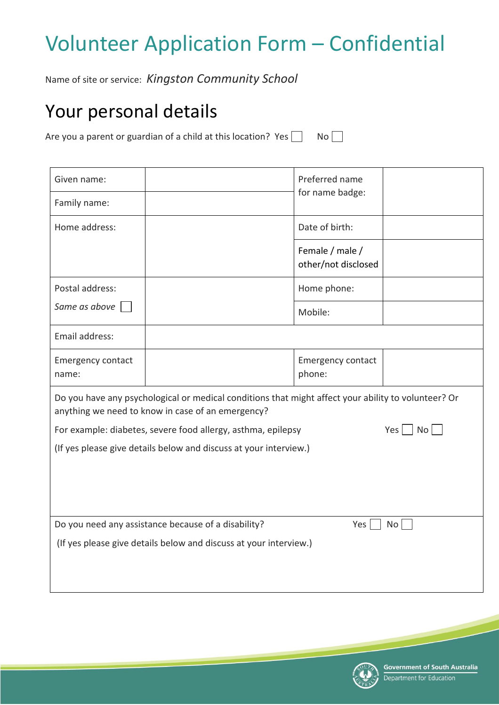# Volunteer Application Form – Confidential

Name of site or service: *Kingston Community School*

## Your personal details

Are you a parent or guardian of a child at this location? Yes  $\Box$  No  $\Box$ 

| Given name:                                                                                                                                              |  | Preferred name                         |  |
|----------------------------------------------------------------------------------------------------------------------------------------------------------|--|----------------------------------------|--|
| Family name:                                                                                                                                             |  | for name badge:                        |  |
| Home address:                                                                                                                                            |  | Date of birth:                         |  |
|                                                                                                                                                          |  | Female / male /<br>other/not disclosed |  |
| Postal address:                                                                                                                                          |  | Home phone:                            |  |
| Same as above                                                                                                                                            |  | Mobile:                                |  |
| Email address:                                                                                                                                           |  |                                        |  |
| <b>Emergency contact</b><br>name:                                                                                                                        |  | Emergency contact<br>phone:            |  |
| Do you have any psychological or medical conditions that might affect your ability to volunteer? Or<br>anything we need to know in case of an emergency? |  |                                        |  |
| No<br>For example: diabetes, severe food allergy, asthma, epilepsy<br>Yes                                                                                |  |                                        |  |
| (If yes please give details below and discuss at your interview.)                                                                                        |  |                                        |  |
|                                                                                                                                                          |  |                                        |  |
|                                                                                                                                                          |  |                                        |  |
| Do you need any assistance because of a disability?<br>Yes<br>No                                                                                         |  |                                        |  |
| (If yes please give details below and discuss at your interview.)                                                                                        |  |                                        |  |
|                                                                                                                                                          |  |                                        |  |
|                                                                                                                                                          |  |                                        |  |

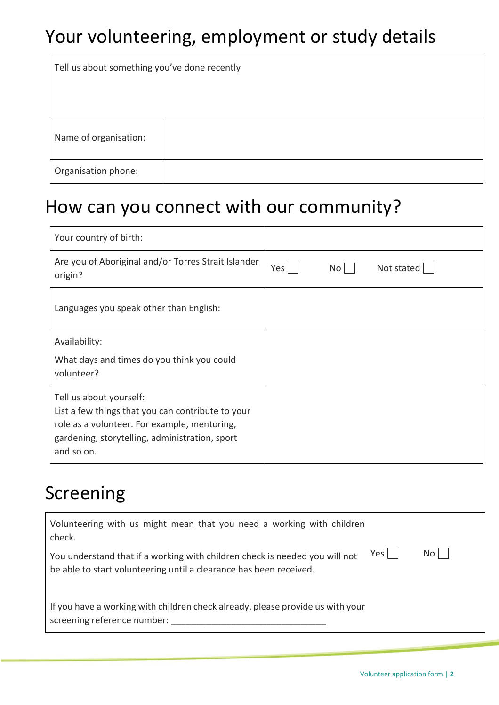## Your volunteering, employment or study details

| Tell us about something you've done recently |  |  |
|----------------------------------------------|--|--|
| Name of organisation:                        |  |  |
| Organisation phone:                          |  |  |

#### How can you connect with our community?

| Your country of birth:                                                                                                                                                                       |               |            |
|----------------------------------------------------------------------------------------------------------------------------------------------------------------------------------------------|---------------|------------|
| Are you of Aboriginal and/or Torres Strait Islander<br>origin?                                                                                                                               | Yes  <br>No l | Not stated |
| Languages you speak other than English:                                                                                                                                                      |               |            |
| Availability:                                                                                                                                                                                |               |            |
| What days and times do you think you could<br>volunteer?                                                                                                                                     |               |            |
| Tell us about yourself:<br>List a few things that you can contribute to your<br>role as a volunteer. For example, mentoring,<br>gardening, storytelling, administration, sport<br>and so on. |               |            |

### Screening

| Volunteering with us might mean that you need a working with children<br>check.                                                                            |      |
|------------------------------------------------------------------------------------------------------------------------------------------------------------|------|
| Yes  <br>You understand that if a working with children check is needed you will not<br>be able to start volunteering until a clearance has been received. | Noll |
| If you have a working with children check already, please provide us with your<br>screening reference number:                                              |      |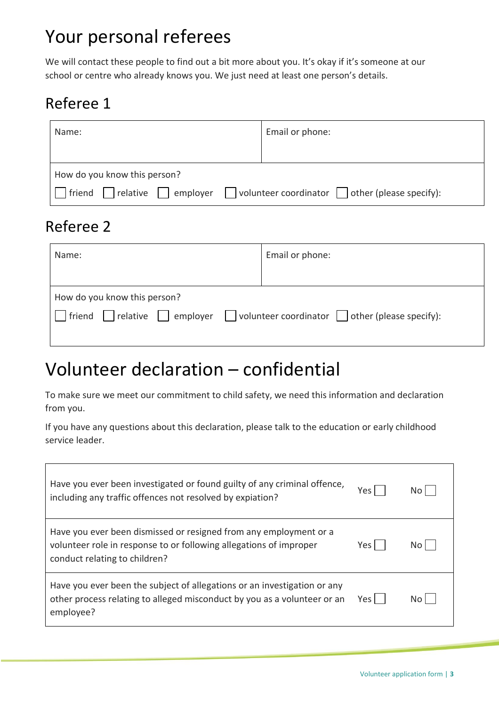### Your personal referees

We will contact these people to find out a bit more about you. It's okay if it's someone at our school or centre who already knows you. We just need at least one person's details.

#### Referee 1

| Name: |                                                                                                          | Email or phone: |  |
|-------|----------------------------------------------------------------------------------------------------------|-----------------|--|
|       |                                                                                                          |                 |  |
|       | How do you know this person?                                                                             |                 |  |
|       | $\Box$ volunteer coordinator $\Box$ other (please specify):<br>$ $ friend $ $ relative $ $  <br>employer |                 |  |

#### Referee 2

| Name:                                                                                                                                                   | Email or phone: |  |
|---------------------------------------------------------------------------------------------------------------------------------------------------------|-----------------|--|
|                                                                                                                                                         |                 |  |
| How do you know this person?                                                                                                                            |                 |  |
| $\lceil$ friend $\lceil$ $\lceil$ relative $\lceil$ $\lceil$ employer $\lceil$ $\lceil$ volunteer coordinator $\lceil$ $\lceil$ other (please specify): |                 |  |
|                                                                                                                                                         |                 |  |

## Volunteer declaration – confidential

To make sure we meet our commitment to child safety, we need this information and declaration from you.

If you have any questions about this declaration, please talk to the education or early childhood service leader.

| Have you ever been investigated or found guilty of any criminal offence,<br>including any traffic offences not resolved by expiation?                                    | Yes.  | Nol  |
|--------------------------------------------------------------------------------------------------------------------------------------------------------------------------|-------|------|
| Have you ever been dismissed or resigned from any employment or a<br>volunteer role in response to or following allegations of improper<br>conduct relating to children? | Yes.  | No I |
| Have you ever been the subject of allegations or an investigation or any<br>other process relating to alleged misconduct by you as a volunteer or an<br>employee?        | Yes l | No L |

٦